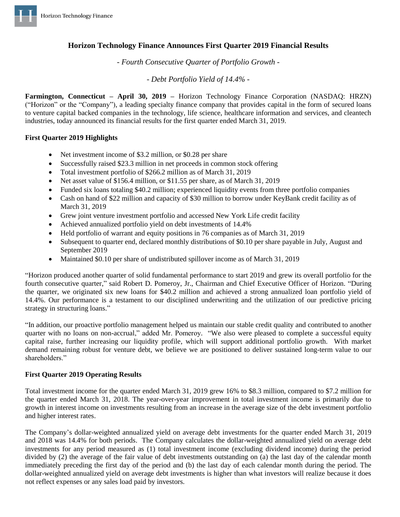

# **Horizon Technology Finance Announces First Quarter 2019 Financial Results**

*- Fourth Consecutive Quarter of Portfolio Growth -*

*- Debt Portfolio Yield of 14.4% -*

**Farmington, Connecticut – April 30, 2019 –** Horizon Technology Finance Corporation (NASDAQ: HRZN) ("Horizon" or the "Company"), a leading specialty finance company that provides capital in the form of secured loans to venture capital backed companies in the technology, life science, healthcare information and services, and cleantech industries, today announced its financial results for the first quarter ended March 31, 2019.

## **First Quarter 2019 Highlights**

- Net investment income of \$3.2 million, or \$0.28 per share
- Successfully raised \$23.3 million in net proceeds in common stock offering
- Total investment portfolio of \$266.2 million as of March 31, 2019
- Net asset value of \$156.4 million, or \$11.55 per share, as of March 31, 2019
- Funded six loans totaling \$40.2 million; experienced liquidity events from three portfolio companies
- Cash on hand of \$22 million and capacity of \$30 million to borrow under KeyBank credit facility as of March 31, 2019
- Grew joint venture investment portfolio and accessed New York Life credit facility
- Achieved annualized portfolio yield on debt investments of 14.4%
- Held portfolio of warrant and equity positions in 76 companies as of March 31, 2019
- Subsequent to quarter end, declared monthly distributions of \$0.10 per share payable in July, August and September 2019
- Maintained \$0.10 per share of undistributed spillover income as of March 31, 2019

"Horizon produced another quarter of solid fundamental performance to start 2019 and grew its overall portfolio for the fourth consecutive quarter," said Robert D. Pomeroy, Jr., Chairman and Chief Executive Officer of Horizon. "During the quarter, we originated six new loans for \$40.2 million and achieved a strong annualized loan portfolio yield of 14.4%. Our performance is a testament to our disciplined underwriting and the utilization of our predictive pricing strategy in structuring loans."

"In addition, our proactive portfolio management helped us maintain our stable credit quality and contributed to another quarter with no loans on non-accrual," added Mr. Pomeroy. "We also were pleased to complete a successful equity capital raise, further increasing our liquidity profile, which will support additional portfolio growth. With market demand remaining robust for venture debt, we believe we are positioned to deliver sustained long-term value to our shareholders."

#### **First Quarter 2019 Operating Results**

Total investment income for the quarter ended March 31, 2019 grew 16% to \$8.3 million, compared to \$7.2 million for the quarter ended March 31, 2018. The year-over-year improvement in total investment income is primarily due to growth in interest income on investments resulting from an increase in the average size of the debt investment portfolio and higher interest rates.

The Company's dollar-weighted annualized yield on average debt investments for the quarter ended March 31, 2019 and 2018 was 14.4% for both periods. The Company calculates the dollar-weighted annualized yield on average debt investments for any period measured as (1) total investment income (excluding dividend income) during the period divided by (2) the average of the fair value of debt investments outstanding on (a) the last day of the calendar month immediately preceding the first day of the period and (b) the last day of each calendar month during the period. The dollar-weighted annualized yield on average debt investments is higher than what investors will realize because it does not reflect expenses or any sales load paid by investors.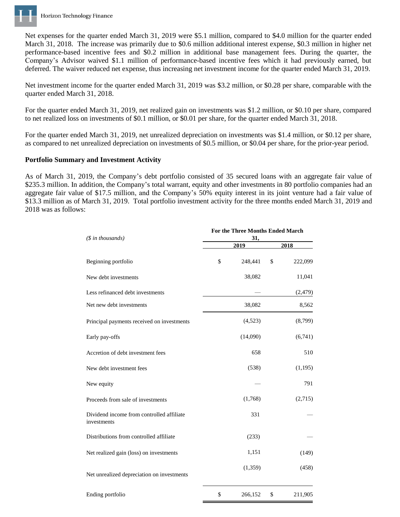

Net expenses for the quarter ended March 31, 2019 were \$5.1 million, compared to \$4.0 million for the quarter ended March 31, 2018. The increase was primarily due to \$0.6 million additional interest expense, \$0.3 million in higher net performance-based incentive fees and \$0.2 million in additional base management fees. During the quarter, the Company's Advisor waived \$1.1 million of performance-based incentive fees which it had previously earned, but deferred. The waiver reduced net expense, thus increasing net investment income for the quarter ended March 31, 2019.

Net investment income for the quarter ended March 31, 2019 was \$3.2 million, or \$0.28 per share, comparable with the quarter ended March 31, 2018.

For the quarter ended March 31, 2019, net realized gain on investments was \$1.2 million, or \$0.10 per share, compared to net realized loss on investments of \$0.1 million, or \$0.01 per share, for the quarter ended March 31, 2018.

For the quarter ended March 31, 2019, net unrealized depreciation on investments was \$1.4 million, or \$0.12 per share, as compared to net unrealized depreciation on investments of \$0.5 million, or \$0.04 per share, for the prior-year period.

## **Portfolio Summary and Investment Activity**

As of March 31, 2019, the Company's debt portfolio consisted of 35 secured loans with an aggregate fair value of \$235.3 million. In addition, the Company's total warrant, equity and other investments in 80 portfolio companies had an aggregate fair value of \$17.5 million, and the Company's 50% equity interest in its joint venture had a fair value of \$13.3 million as of March 31, 2019. Total portfolio investment activity for the three months ended March 31, 2019 and 2018 was as follows:

| $($ in thousands)$                                       | For the Three Months Ended March<br>31, |          |      |          |  |
|----------------------------------------------------------|-----------------------------------------|----------|------|----------|--|
|                                                          |                                         | 2019     | 2018 |          |  |
| Beginning portfolio                                      | \$                                      | 248,441  | \$   | 222,099  |  |
| New debt investments                                     |                                         | 38,082   |      | 11,041   |  |
| Less refinanced debt investments                         |                                         |          |      | (2, 479) |  |
| Net new debt investments                                 |                                         | 38,082   |      | 8,562    |  |
| Principal payments received on investments               |                                         | (4,523)  |      | (8,799)  |  |
| Early pay-offs                                           |                                         | (14,090) |      | (6,741)  |  |
| Accretion of debt investment fees                        |                                         | 658      |      | 510      |  |
| New debt investment fees                                 |                                         | (538)    |      | (1,195)  |  |
| New equity                                               |                                         |          |      | 791      |  |
| Proceeds from sale of investments                        |                                         | (1,768)  |      | (2,715)  |  |
| Dividend income from controlled affiliate<br>investments |                                         | 331      |      |          |  |
| Distributions from controlled affiliate                  |                                         | (233)    |      |          |  |
| Net realized gain (loss) on investments                  |                                         | 1,151    |      | (149)    |  |
| Net unrealized depreciation on investments               |                                         | (1, 359) |      | (458)    |  |
| Ending portfolio                                         | \$                                      | 266,152  | \$   | 211,905  |  |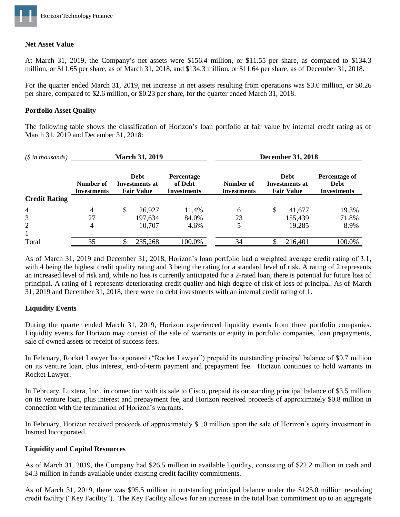

### **Net Asset Value**

At March 31, 2019, the Company's net assets were \$156.4 million, or \$11.55 per share, as compared to \$134.3 million, or \$11.65 per share, as of March 31, 2018, and \$134.3 million, or \$11.64 per share, as of December 31, 2018.

For the quarter ended March 31, 2019, net increase in net assets resulting from operations was \$3.0 million, or \$0.26 per share, compared to \$2.6 million, or \$0.23 per share, for the quarter ended March 31, 2018.

#### **Portfolio Asset Quality**

The following table shows the classification of Horizon's loan portfolio at fair value by internal credit rating as of March 31, 2019 and December 31, 2018:

| $(\text{\$ in thousands})$ | <b>March 31, 2019</b>           |              |                                                    |                                             | <b>December 31, 2018</b>        |    |                                                           |                                                    |
|----------------------------|---------------------------------|--------------|----------------------------------------------------|---------------------------------------------|---------------------------------|----|-----------------------------------------------------------|----------------------------------------------------|
|                            | Number of<br><b>Investments</b> |              | <b>Debt</b><br>Investments at<br><b>Fair Value</b> | Percentage<br>of Debt<br><b>Investments</b> | Number of<br><b>Investments</b> |    | <b>Debt</b><br><b>Investments at</b><br><b>Fair Value</b> | Percentage of<br><b>Debt</b><br><b>Investments</b> |
| <b>Credit Rating</b>       |                                 |              |                                                    |                                             |                                 |    |                                                           |                                                    |
| $\overline{4}$             | 4                               | $\mathbb{S}$ | 26,927                                             | 11.4%                                       | 6                               | \$ | 41,677                                                    | 19.3%                                              |
| 3                          | 27                              |              | 197,634                                            | 84.0%                                       | 23                              |    | 155,439                                                   | 71.8%                                              |
| $\overline{2}$             | 4                               |              | 10,707                                             | 4.6%                                        | 5                               |    | 19,285                                                    | 8.9%                                               |
|                            | $- -$                           |              | --                                                 |                                             | --                              |    | $- -$                                                     | --                                                 |
| Total                      | 35                              | S            | 235,268                                            | 100.0%                                      | 34                              |    | 216,401                                                   | 100.0%                                             |

As of March 31, 2019 and December 31, 2018, Horizon's loan portfolio had a weighted average credit rating of 3.1, with 4 being the highest credit quality rating and 3 being the rating for a standard level of risk. A rating of 2 represents an increased level of risk and, while no loss is currently anticipated for a 2-rated loan, there is potential for future loss of principal. A rating of 1 represents deteriorating credit quality and high degree of risk of loss of principal. As of March 31, 2019 and December 31, 2018, there were no debt investments with an internal credit rating of 1.

## **Liquidity Events**

During the quarter ended March 31, 2019, Horizon experienced liquidity events from three portfolio companies. Liquidity events for Horizon may consist of the sale of warrants or equity in portfolio companies, loan prepayments, sale of owned assets or receipt of success fees.

In February, Rocket Lawyer Incorporated ("Rocket Lawyer") prepaid its outstanding principal balance of \$9.7 million on its venture loan, plus interest, end-of-term payment and prepayment fee. Horizon continues to hold warrants in Rocket Lawyer.

In February, Luxtera, Inc., in connection with its sale to Cisco, prepaid its outstanding principal balance of \$3.5 million on its venture loan, plus interest and prepayment fee, and Horizon received proceeds of approximately \$0.8 million in connection with the termination of Horizon's warrants.

In February, Horizon received proceeds of approximately \$1.0 million upon the sale of Horizon's equity investment in Insmed Incorporated.

## **Liquidity and Capital Resources**

As of March 31, 2019, the Company had \$26.5 million in available liquidity, consisting of \$22.2 million in cash and \$4.3 million in funds available under existing credit facility commitments.

As of March 31, 2019, there was \$95.5 million in outstanding principal balance under the \$125.0 million revolving credit facility ("Key Facility"). The Key Facility allows for an increase in the total loan commitment up to an aggregate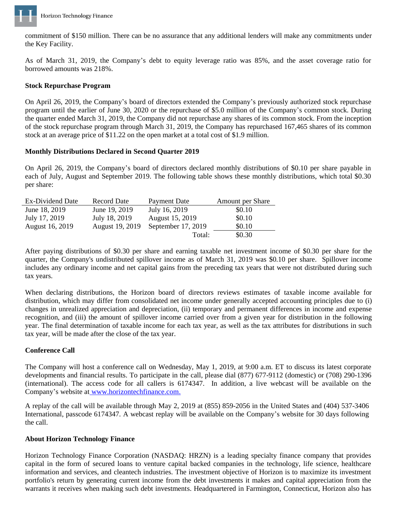

commitment of \$150 million. There can be no assurance that any additional lenders will make any commitments under the Key Facility.

As of March 31, 2019, the Company's debt to equity leverage ratio was 85%, and the asset coverage ratio for borrowed amounts was 218%.

## **Stock Repurchase Program**

On April 26, 2019, the Company's board of directors extended the Company's previously authorized stock repurchase program until the earlier of June 30, 2020 or the repurchase of \$5.0 million of the Company's common stock. During the quarter ended March 31, 2019, the Company did not repurchase any shares of its common stock. From the inception of the stock repurchase program through March 31, 2019, the Company has repurchased 167,465 shares of its common stock at an average price of \$11.22 on the open market at a total cost of \$1.9 million.

## **Monthly Distributions Declared in Second Quarter 2019**

On April 26, 2019, the Company's board of directors declared monthly distributions of \$0.10 per share payable in each of July, August and September 2019. The following table shows these monthly distributions, which total \$0.30 per share:

| Ex-Dividend Date | Record Date     | Payment Date       | <b>Amount per Share</b> |
|------------------|-----------------|--------------------|-------------------------|
| June 18, 2019    | June 19, 2019   | July 16, 2019      | \$0.10                  |
| July 17, 2019    | July 18, 2019   | August 15, 2019    | \$0.10                  |
| August 16, 2019  | August 19, 2019 | September 17, 2019 | \$0.10                  |
|                  |                 | Total:             | \$0.30                  |

After paying distributions of \$0.30 per share and earning taxable net investment income of \$0.30 per share for the quarter, the Company's undistributed spillover income as of March 31, 2019 was \$0.10 per share. Spillover income includes any ordinary income and net capital gains from the preceding tax years that were not distributed during such tax years.

When declaring distributions, the Horizon board of directors reviews estimates of taxable income available for distribution, which may differ from consolidated net income under generally accepted accounting principles due to (i) changes in unrealized appreciation and depreciation, (ii) temporary and permanent differences in income and expense recognition, and (iii) the amount of spillover income carried over from a given year for distribution in the following year. The final determination of taxable income for each tax year, as well as the tax attributes for distributions in such tax year, will be made after the close of the tax year.

# **Conference Call**

The Company will host a conference call on Wednesday, May 1, 2019, at 9:00 a.m. ET to discuss its latest corporate developments and financial results. To participate in the call, please dial (877) 677-9112 (domestic) or (708) 290-1396 (international). The access code for all callers is 6174347. In addition, a live webcast will be available on the Company's website at [www.horizontechfinance.com.](http://www.horizontechfinance.com/)

A replay of the call will be available through May 2, 2019 at (855) 859-2056 in the United States and (404) 537-3406 International, passcode 6174347. A webcast replay will be available on the Company's website for 30 days following the call.

## **About Horizon Technology Finance**

Horizon Technology Finance Corporation (NASDAQ: HRZN) is a leading specialty finance company that provides capital in the form of secured loans to venture capital backed companies in the technology, life science, healthcare information and services, and cleantech industries. The investment objective of Horizon is to maximize its investment portfolio's return by generating current income from the debt investments it makes and capital appreciation from the warrants it receives when making such debt investments. Headquartered in Farmington, Connecticut, Horizon also has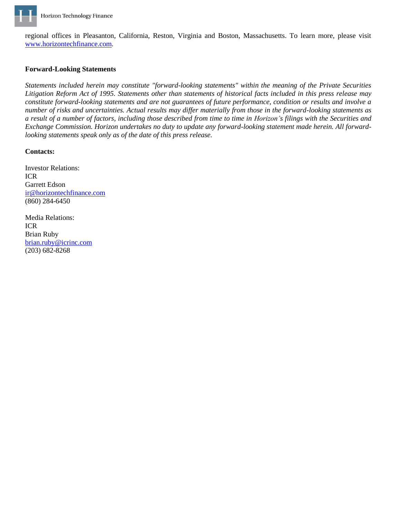

regional offices in Pleasanton, California, Reston, Virginia and Boston, Massachusetts. To learn more, please visit [www.horizontechfinance.com.](http://www.horizontechfinance.com/)

## **Forward-Looking Statements**

*Statements included herein may constitute "forward-looking statements" within the meaning of the Private Securities Litigation Reform Act of 1995. Statements other than statements of historical facts included in this press release may constitute forward-looking statements and are not guarantees of future performance, condition or results and involve a number of risks and uncertainties. Actual results may differ materially from those in the forward-looking statements as a result of a number of factors, including those described from time to time in Horizon's filings with the Securities and Exchange Commission. Horizon undertakes no duty to update any forward-looking statement made herein. All forwardlooking statements speak only as of the date of this press release.*

#### **Contacts:**

Investor Relations: ICR Garrett Edson [ir@horizontechfinance.com](mailto:ir@horizontechfinance.com) (860) 284-6450

Media Relations: ICR Brian Ruby [brian.ruby@icrinc.com](mailto:brian.ruby@icrinc.com) (203) 682-8268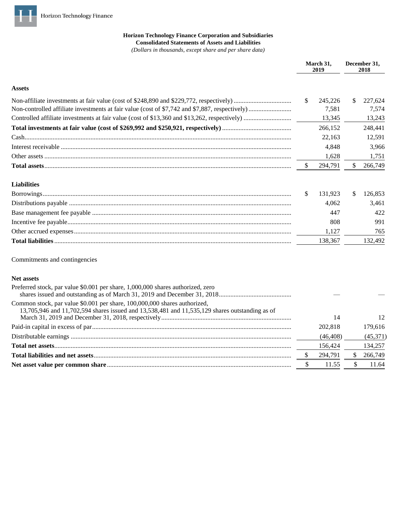

## **Horizon Technology Finance Corporation and Subsidiaries Consolidated Statements of Assets and Liabilities**

*(Dollars in thousands, except share and per share data)*

|                                                                                                                                                                             |     | March 31,<br>2019 |    | December 31,<br>2018 |  |
|-----------------------------------------------------------------------------------------------------------------------------------------------------------------------------|-----|-------------------|----|----------------------|--|
| <b>Assets</b>                                                                                                                                                               |     |                   |    |                      |  |
|                                                                                                                                                                             | \$  | 245,226<br>7,581  | \$ | 227,624<br>7,574     |  |
|                                                                                                                                                                             |     | 13,345            |    | 13,243               |  |
|                                                                                                                                                                             |     | 266,152           |    | 248,441              |  |
|                                                                                                                                                                             |     | 22,163            |    | 12,591               |  |
|                                                                                                                                                                             |     | 4,848             |    | 3,966                |  |
|                                                                                                                                                                             |     | 1,628             |    | 1,751                |  |
|                                                                                                                                                                             | \$  | 294,791           | \$ | 266,749              |  |
| <b>Liabilities</b>                                                                                                                                                          |     |                   |    |                      |  |
|                                                                                                                                                                             | S   | 131,923           | \$ | 126,853              |  |
|                                                                                                                                                                             |     | 4,062             |    | 3,461                |  |
|                                                                                                                                                                             |     | 447               |    | 422                  |  |
|                                                                                                                                                                             |     | 808               |    | 991                  |  |
|                                                                                                                                                                             |     | 1,127             |    | 765                  |  |
|                                                                                                                                                                             |     | 138,367           |    | 132,492              |  |
| Commitments and contingencies                                                                                                                                               |     |                   |    |                      |  |
| <b>Net assets</b>                                                                                                                                                           |     |                   |    |                      |  |
| Preferred stock, par value \$0.001 per share, 1,000,000 shares authorized, zero                                                                                             |     |                   |    |                      |  |
| Common stock, par value \$0.001 per share, 100,000,000 shares authorized,<br>13,705,946 and 11,702,594 shares issued and 13,538,481 and 11,535,129 shares outstanding as of |     | 14                |    | 12                   |  |
|                                                                                                                                                                             |     | 202,818           |    | 179,616              |  |
|                                                                                                                                                                             |     | (46, 408)         |    | (45,371)             |  |
|                                                                                                                                                                             |     | 156,424           |    | 134,257              |  |
|                                                                                                                                                                             | \$. | 294,791           | \$ | 266,749              |  |
|                                                                                                                                                                             | \$  | 11.55             | \$ | 11.64                |  |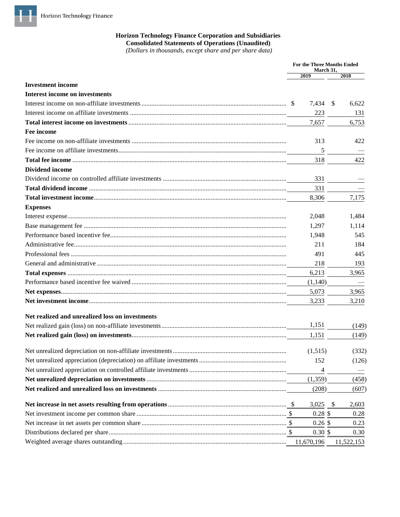

## **Horizon Technology Finance Corporation and Subsidiaries Consolidated Statements of Operations (Unaudited)**

(Dollars in thousands, except share and per share data)

|                                                 | <b>For the Three Months Ended</b><br>March 31, |                        |
|-------------------------------------------------|------------------------------------------------|------------------------|
|                                                 | 2019                                           | 2018                   |
| <b>Investment</b> income                        |                                                |                        |
| <b>Interest income on investments</b>           |                                                |                        |
|                                                 | 7,434                                          | -S<br>6,622            |
|                                                 | 223                                            | 131                    |
|                                                 | 7,657                                          | 6,753                  |
| Fee income                                      |                                                |                        |
|                                                 | 313                                            | 422                    |
|                                                 | 5                                              |                        |
|                                                 | 318                                            | 422                    |
| <b>Dividend income</b>                          |                                                |                        |
|                                                 | 331                                            |                        |
|                                                 | 331                                            |                        |
|                                                 | 8,306                                          | 7,175                  |
| <b>Expenses</b>                                 |                                                |                        |
|                                                 | 2.048                                          | 1,484                  |
|                                                 | 1,297                                          | 1,114                  |
|                                                 | 1,948                                          | 545                    |
|                                                 | 211                                            | 184                    |
|                                                 | 491                                            | 445                    |
|                                                 | 218                                            | 193                    |
|                                                 | 6,213                                          | 3,965                  |
|                                                 | (1,140)                                        |                        |
|                                                 | 5,073                                          | 3,965                  |
|                                                 | 3,233                                          | 3,210                  |
| Net realized and unrealized loss on investments |                                                |                        |
|                                                 | 1,151                                          | (149)                  |
|                                                 | 1,151                                          | (149)                  |
|                                                 |                                                |                        |
|                                                 | (1,515)                                        | (332)                  |
|                                                 | 152                                            | (126)                  |
|                                                 | 4                                              |                        |
|                                                 | (1, 359)                                       | (458)                  |
|                                                 | (208)                                          | (607)                  |
|                                                 | 3,025                                          | $\mathcal{S}$<br>2,603 |
|                                                 | $0.28$ \$                                      | 0.28                   |
|                                                 | $0.26$ \$                                      | 0.23                   |
|                                                 | $0.30 \text{ }$ \$                             | 0.30                   |
|                                                 | 11,670,196                                     | 11,522,153             |